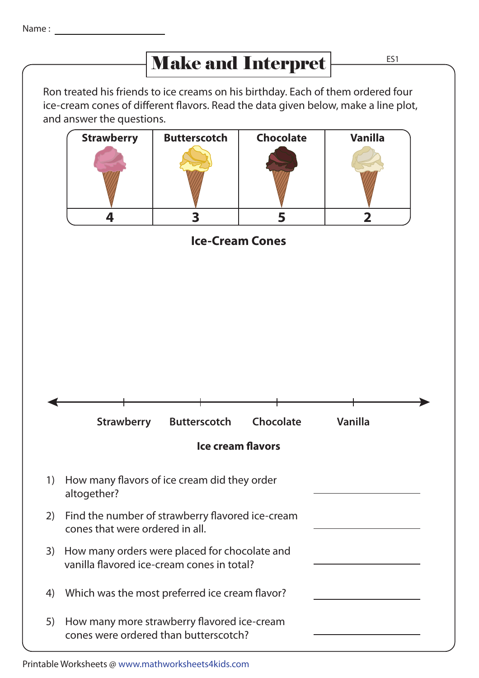## Make and Interpret  $\frac{ES1}{ES1}$

Ron treated his friends to ice creams on his birthday. Each of them ordered four ice-cream cones of different flavors. Read the data given below, make a line plot, and answer the questions.